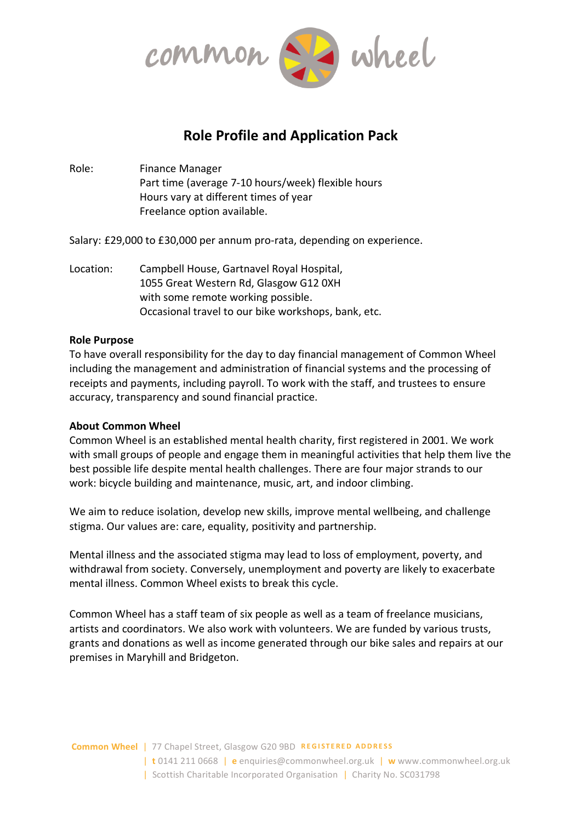

# **Role Profile and Application Pack**

Role: Finance Manager Part time (average 7-10 hours/week) flexible hours Hours vary at different times of year Freelance option available.

Salary: £29,000 to £30,000 per annum pro-rata, depending on experience.

Location: Campbell House, Gartnavel Royal Hospital, 1055 Great Western Rd, Glasgow G12 0XH with some remote working possible. Occasional travel to our bike workshops, bank, etc.

## **Role Purpose**

To have overall responsibility for the day to day financial management of Common Wheel including the management and administration of financial systems and the processing of receipts and payments, including payroll. To work with the staff, and trustees to ensure accuracy, transparency and sound financial practice.

## **About Common Wheel**

Common Wheel is an established mental health charity, first registered in 2001. We work with small groups of people and engage them in meaningful activities that help them live the best possible life despite mental health challenges. There are four major strands to our work: bicycle building and maintenance, music, art, and indoor climbing.

We aim to reduce isolation, develop new skills, improve mental wellbeing, and challenge stigma. Our values are: care, equality, positivity and partnership.

Mental illness and the associated stigma may lead to loss of employment, poverty, and withdrawal from society. Conversely, unemployment and poverty are likely to exacerbate mental illness. Common Wheel exists to break this cycle.

Common Wheel has a staff team of six people as well as a team of freelance musicians, artists and coordinators. We also work with volunteers. We are funded by various trusts, grants and donations as well as income generated through our bike sales and repairs at our premises in Maryhill and Bridgeton.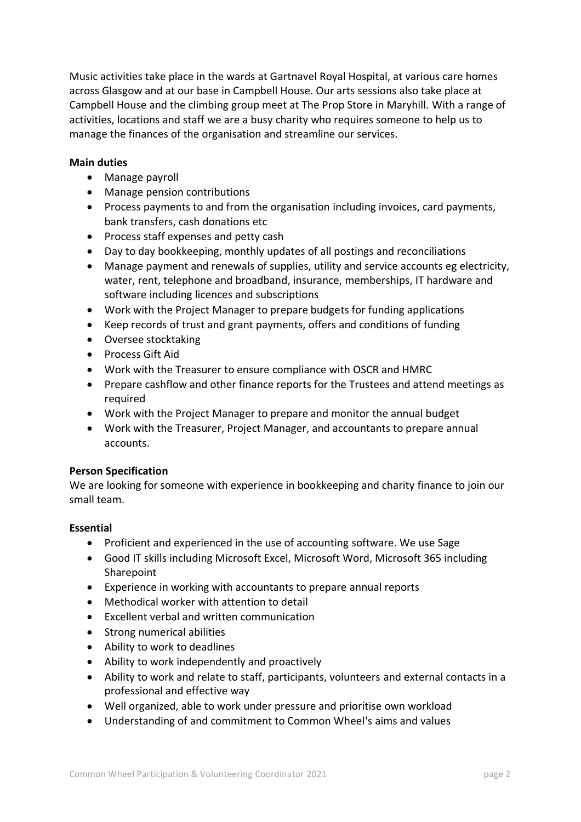Music activities take place in the wards at Gartnavel Royal Hospital, at various care homes across Glasgow and at our base in Campbell House. Our arts sessions also take place at Campbell House and the climbing group meet at The Prop Store in Maryhill. With a range of activities, locations and staff we are a busy charity who requires someone to help us to manage the finances of the organisation and streamline our services.

# **Main duties**

- Manage payroll
- Manage pension contributions
- Process payments to and from the organisation including invoices, card payments, bank transfers, cash donations etc
- Process staff expenses and petty cash
- Day to day bookkeeping, monthly updates of all postings and reconciliations
- Manage payment and renewals of supplies, utility and service accounts eg electricity, water, rent, telephone and broadband, insurance, memberships, IT hardware and software including licences and subscriptions
- Work with the Project Manager to prepare budgets for funding applications
- Keep records of trust and grant payments, offers and conditions of funding
- Oversee stocktaking
- Process Gift Aid
- Work with the Treasurer to ensure compliance with OSCR and HMRC
- Prepare cashflow and other finance reports for the Trustees and attend meetings as required
- Work with the Project Manager to prepare and monitor the annual budget
- Work with the Treasurer, Project Manager, and accountants to prepare annual accounts.

## **Person Specification**

We are looking for someone with experience in bookkeeping and charity finance to join our small team.

## **Essential**

- Proficient and experienced in the use of accounting software. We use Sage
- Good IT skills including Microsoft Excel, Microsoft Word, Microsoft 365 including **Sharepoint**
- Experience in working with accountants to prepare annual reports
- Methodical worker with attention to detail
- Excellent verbal and written communication
- Strong numerical abilities
- Ability to work to deadlines
- Ability to work independently and proactively
- Ability to work and relate to staff, participants, volunteers and external contacts in a professional and effective way
- Well organized, able to work under pressure and prioritise own workload
- Understanding of and commitment to Common Wheel's aims and values